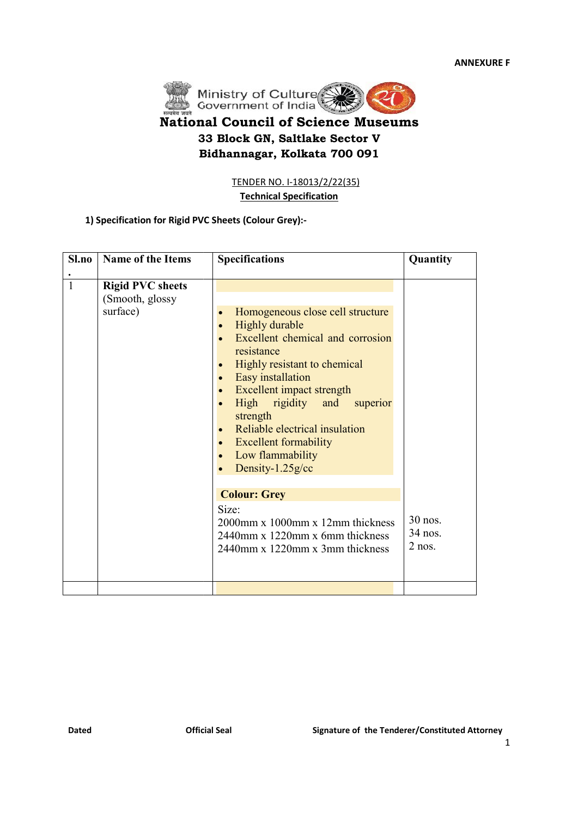

| <u>TENDER NO. I-18013/2/22(35)</u><br><b>Technical Specification</b><br>1) Specification for Rigid PVC Sheets (Colour Grey):- |                                                        |                                                                                                                                                                                                                                                                                                                                                                                                                                                                                                                                                                                                                                                        |                                |  |  |
|-------------------------------------------------------------------------------------------------------------------------------|--------------------------------------------------------|--------------------------------------------------------------------------------------------------------------------------------------------------------------------------------------------------------------------------------------------------------------------------------------------------------------------------------------------------------------------------------------------------------------------------------------------------------------------------------------------------------------------------------------------------------------------------------------------------------------------------------------------------------|--------------------------------|--|--|
| Sl.no                                                                                                                         | <b>Name of the Items</b>                               | <b>Specifications</b>                                                                                                                                                                                                                                                                                                                                                                                                                                                                                                                                                                                                                                  | Quantity                       |  |  |
| $\mathbf{1}$                                                                                                                  | <b>Rigid PVC sheets</b><br>(Smooth, glossy<br>surface) | Homogeneous close cell structure<br>$\bullet$<br><b>Highly durable</b><br>$\bullet$<br>Excellent chemical and corrosion<br>$\bullet$<br>resistance<br>Highly resistant to chemical<br>$\bullet$<br>Easy installation<br>$\bullet$<br>Excellent impact strength<br>$\bullet$<br>High rigidity and<br>superior<br>$\bullet$<br>strength<br>Reliable electrical insulation<br>$\bullet$<br><b>Excellent formability</b><br>$\bullet$<br>Low flammability<br>$\bullet$<br>Density-1.25g/cc<br>$\bullet$<br><b>Colour: Grey</b><br>Size:<br>$2000$ mm x $1000$ mm x $12$ mm thickness<br>2440mm x 1220mm x 6mm thickness<br>2440mm x 1220mm x 3mm thickness | 30 nos.<br>34 nos.<br>$2$ nos. |  |  |
|                                                                                                                               |                                                        |                                                                                                                                                                                                                                                                                                                                                                                                                                                                                                                                                                                                                                                        |                                |  |  |
|                                                                                                                               |                                                        |                                                                                                                                                                                                                                                                                                                                                                                                                                                                                                                                                                                                                                                        |                                |  |  |